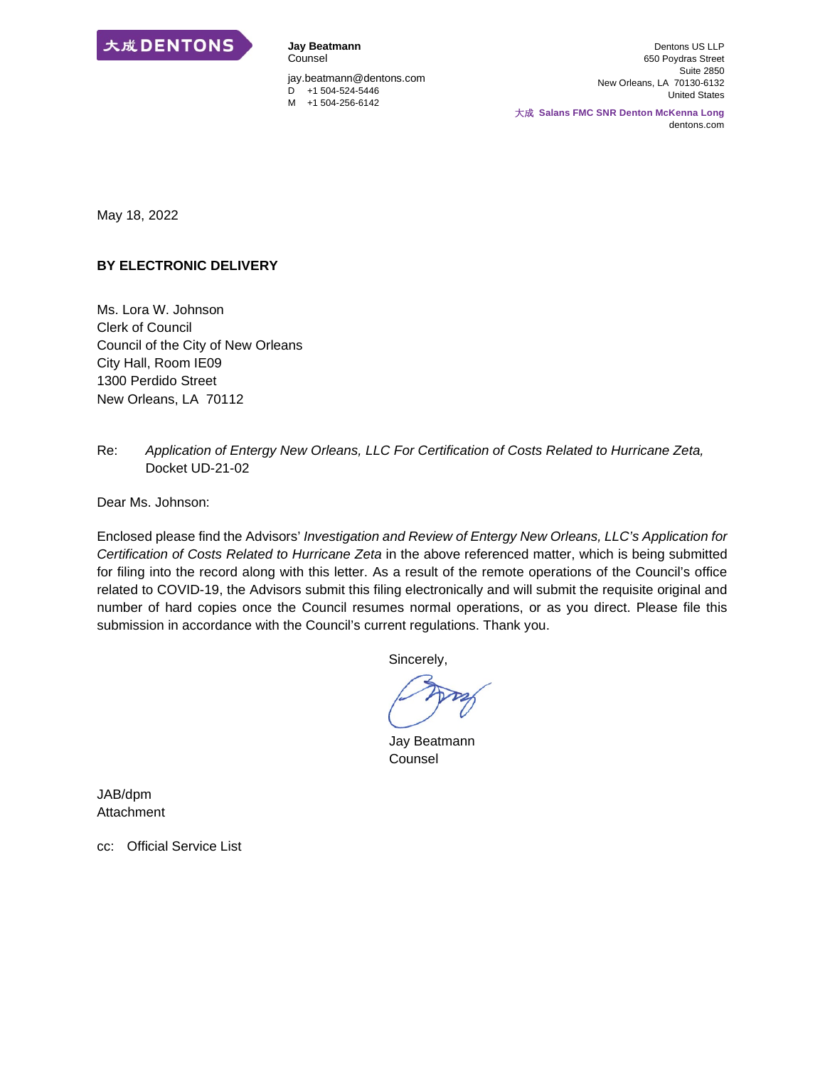

Counsel jay.beatmann@dentons.com  $D +1 504 -524 -5446$ M +1 504-256-6142

**Jay Beatmann** 

Dentons US LLP 650 Poydras Street Suite 2850 New Orleans, LA 70130-6132 United States

大成 **Salans FMC SNR Denton McKenna Long** dentons.com

May 18, 2022

#### **BY ELECTRONIC DELIVERY**

Ms. Lora W. Johnson Clerk of Council Council of the City of New Orleans City Hall, Room IE09 1300 Perdido Street New Orleans, LA 70112

Re: *Application of Entergy New Orleans, LLC For Certification of Costs Related to Hurricane Zeta,*  Docket UD-21-02

Dear Ms. Johnson:

Enclosed please find the Advisors' *Investigation and Review of Entergy New Orleans, LLC's Application for Certification of Costs Related to Hurricane Zeta* in the above referenced matter, which is being submitted for filing into the record along with this letter. As a result of the remote operations of the Council's office related to COVID-19, the Advisors submit this filing electronically and will submit the requisite original and number of hard copies once the Council resumes normal operations, or as you direct. Please file this submission in accordance with the Council's current regulations. Thank you.

Sincerely,

Jay Beatmann Counsel

JAB/dpm Attachment

cc: Official Service List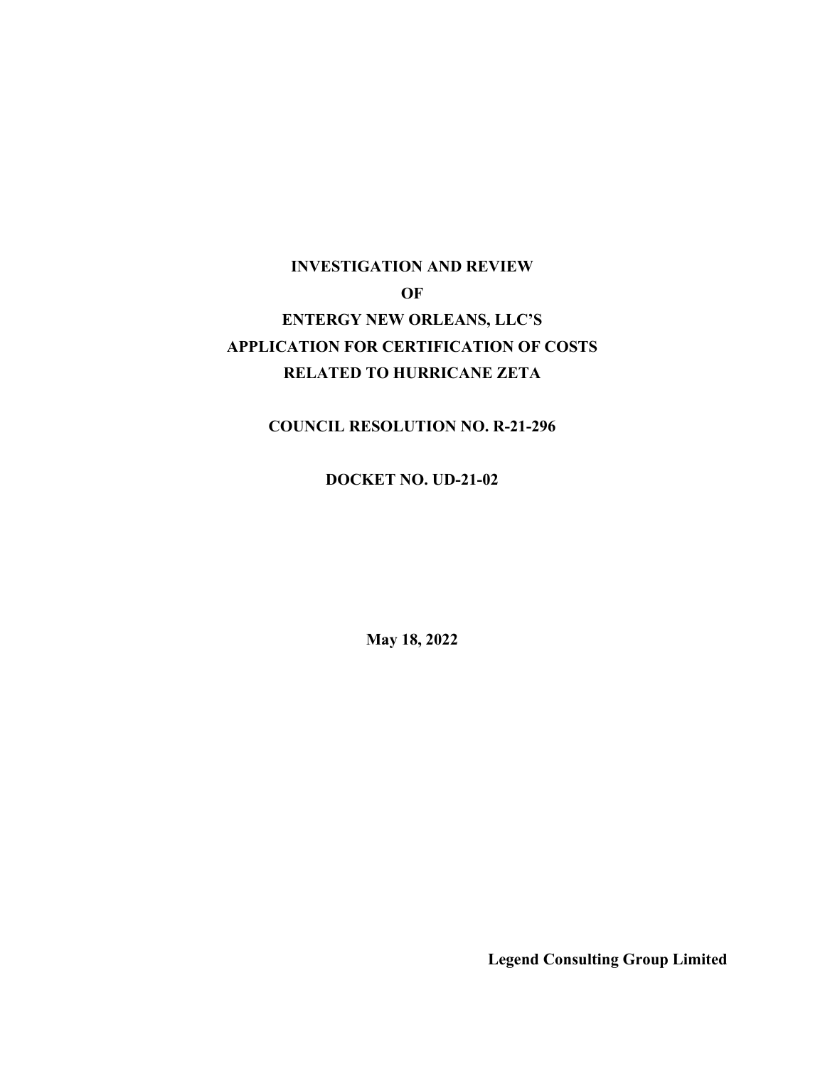# **INVESTIGATION AND REVIEW OF ENTERGY NEW ORLEANS, LLC'S APPLICATION FOR CERTIFICATION OF COSTS RELATED TO HURRICANE ZETA**

# **COUNCIL RESOLUTION NO. R-21-296**

### **DOCKET NO. UD-21-02**

**May 18, 2022** 

**Legend Consulting Group Limited**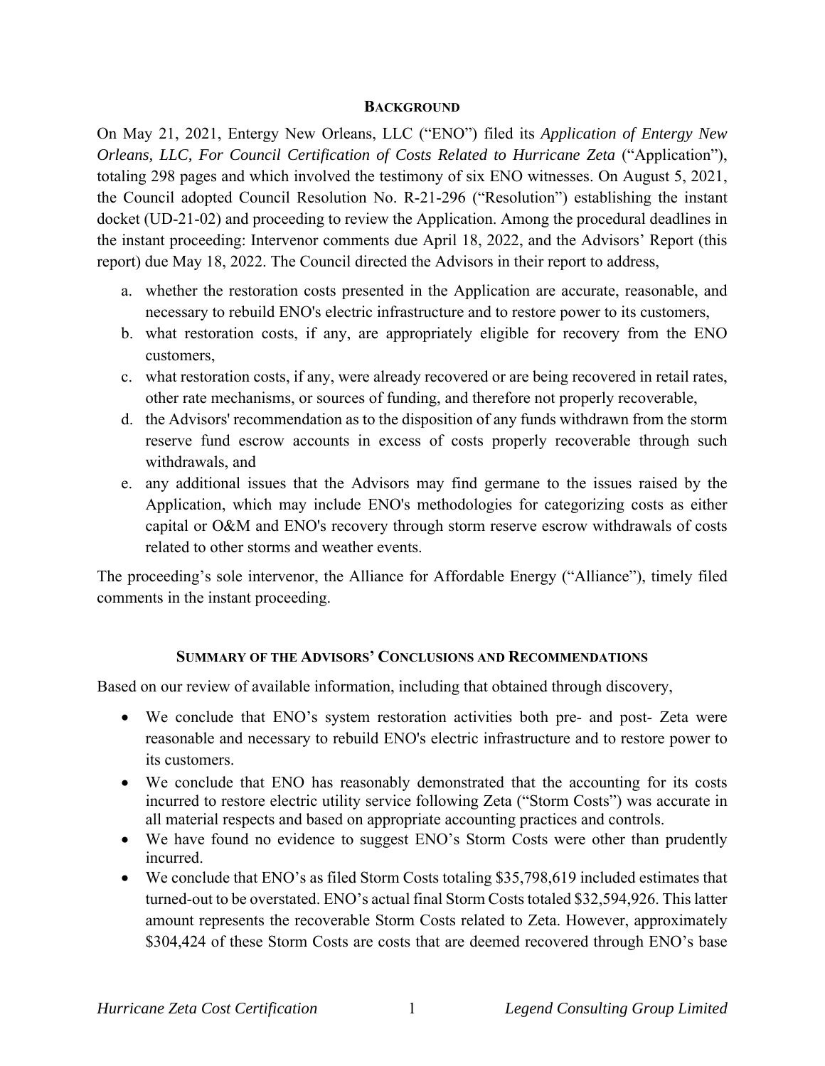#### **BACKGROUND**

On May 21, 2021, Entergy New Orleans, LLC ("ENO") filed its *Application of Entergy New Orleans, LLC, For Council Certification of Costs Related to Hurricane Zeta* ("Application"), totaling 298 pages and which involved the testimony of six ENO witnesses. On August 5, 2021, the Council adopted Council Resolution No. R-21-296 ("Resolution") establishing the instant docket (UD-21-02) and proceeding to review the Application. Among the procedural deadlines in the instant proceeding: Intervenor comments due April 18, 2022, and the Advisors' Report (this report) due May 18, 2022. The Council directed the Advisors in their report to address,

- a. whether the restoration costs presented in the Application are accurate, reasonable, and necessary to rebuild ENO's electric infrastructure and to restore power to its customers,
- b. what restoration costs, if any, are appropriately eligible for recovery from the ENO customers,
- c. what restoration costs, if any, were already recovered or are being recovered in retail rates, other rate mechanisms, or sources of funding, and therefore not properly recoverable,
- d. the Advisors' recommendation as to the disposition of any funds withdrawn from the storm reserve fund escrow accounts in excess of costs properly recoverable through such withdrawals, and
- e. any additional issues that the Advisors may find germane to the issues raised by the Application, which may include ENO's methodologies for categorizing costs as either capital or O&M and ENO's recovery through storm reserve escrow withdrawals of costs related to other storms and weather events.

The proceeding's sole intervenor, the Alliance for Affordable Energy ("Alliance"), timely filed comments in the instant proceeding.

### **SUMMARY OF THE ADVISORS' CONCLUSIONS AND RECOMMENDATIONS**

Based on our review of available information, including that obtained through discovery,

- We conclude that ENO's system restoration activities both pre- and post- Zeta were reasonable and necessary to rebuild ENO's electric infrastructure and to restore power to its customers.
- We conclude that ENO has reasonably demonstrated that the accounting for its costs incurred to restore electric utility service following Zeta ("Storm Costs") was accurate in all material respects and based on appropriate accounting practices and controls.
- We have found no evidence to suggest ENO's Storm Costs were other than prudently incurred.
- We conclude that ENO's as filed Storm Costs totaling \$35,798,619 included estimates that turned-out to be overstated. ENO's actual final Storm Costs totaled \$32,594,926. This latter amount represents the recoverable Storm Costs related to Zeta. However, approximately \$304,424 of these Storm Costs are costs that are deemed recovered through ENO's base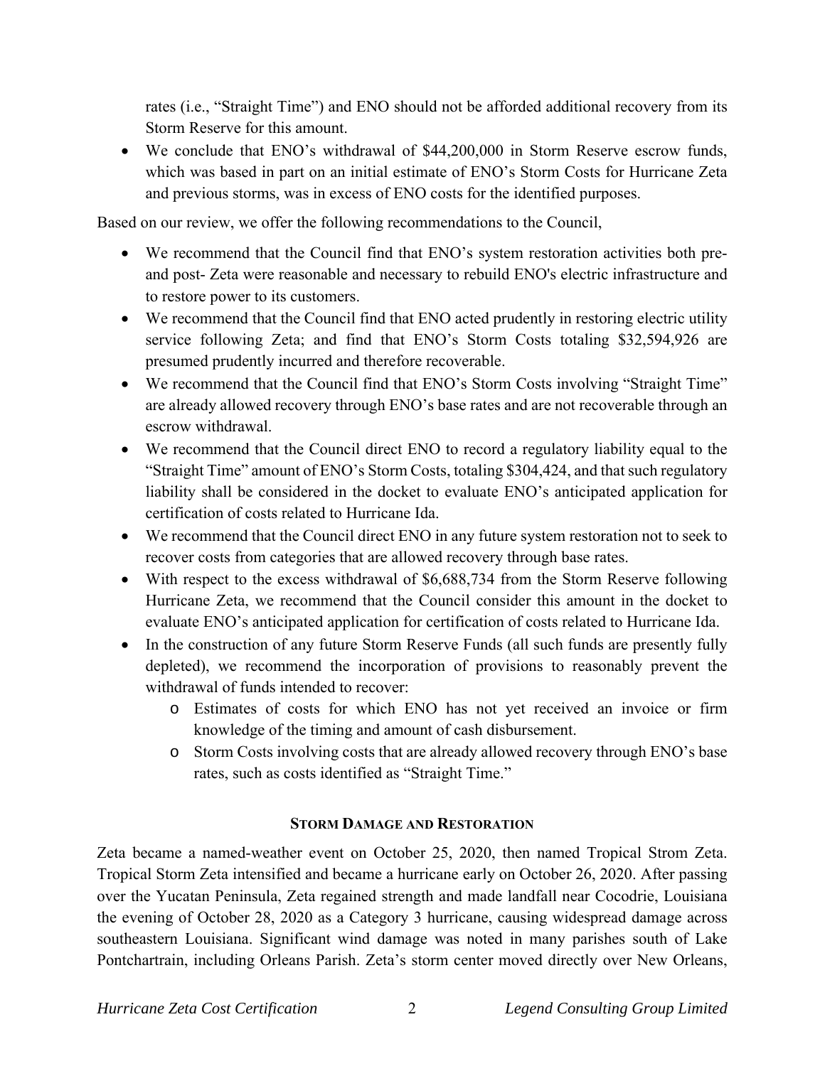rates (i.e., "Straight Time") and ENO should not be afforded additional recovery from its Storm Reserve for this amount.

 We conclude that ENO's withdrawal of \$44,200,000 in Storm Reserve escrow funds, which was based in part on an initial estimate of ENO's Storm Costs for Hurricane Zeta and previous storms, was in excess of ENO costs for the identified purposes.

Based on our review, we offer the following recommendations to the Council,

- We recommend that the Council find that ENO's system restoration activities both preand post- Zeta were reasonable and necessary to rebuild ENO's electric infrastructure and to restore power to its customers.
- We recommend that the Council find that ENO acted prudently in restoring electric utility service following Zeta; and find that ENO's Storm Costs totaling \$32,594,926 are presumed prudently incurred and therefore recoverable.
- We recommend that the Council find that ENO's Storm Costs involving "Straight Time" are already allowed recovery through ENO's base rates and are not recoverable through an escrow withdrawal.
- We recommend that the Council direct ENO to record a regulatory liability equal to the "Straight Time" amount of ENO's Storm Costs, totaling \$304,424, and that such regulatory liability shall be considered in the docket to evaluate ENO's anticipated application for certification of costs related to Hurricane Ida.
- We recommend that the Council direct ENO in any future system restoration not to seek to recover costs from categories that are allowed recovery through base rates.
- With respect to the excess withdrawal of \$6,688,734 from the Storm Reserve following Hurricane Zeta, we recommend that the Council consider this amount in the docket to evaluate ENO's anticipated application for certification of costs related to Hurricane Ida.
- In the construction of any future Storm Reserve Funds (all such funds are presently fully depleted), we recommend the incorporation of provisions to reasonably prevent the withdrawal of funds intended to recover:
	- o Estimates of costs for which ENO has not yet received an invoice or firm knowledge of the timing and amount of cash disbursement.
	- o Storm Costs involving costs that are already allowed recovery through ENO's base rates, such as costs identified as "Straight Time."

# **STORM DAMAGE AND RESTORATION**

Zeta became a named-weather event on October 25, 2020, then named Tropical Strom Zeta. Tropical Storm Zeta intensified and became a hurricane early on October 26, 2020. After passing over the Yucatan Peninsula, Zeta regained strength and made landfall near Cocodrie, Louisiana the evening of October 28, 2020 as a Category 3 hurricane, causing widespread damage across southeastern Louisiana. Significant wind damage was noted in many parishes south of Lake Pontchartrain, including Orleans Parish. Zeta's storm center moved directly over New Orleans,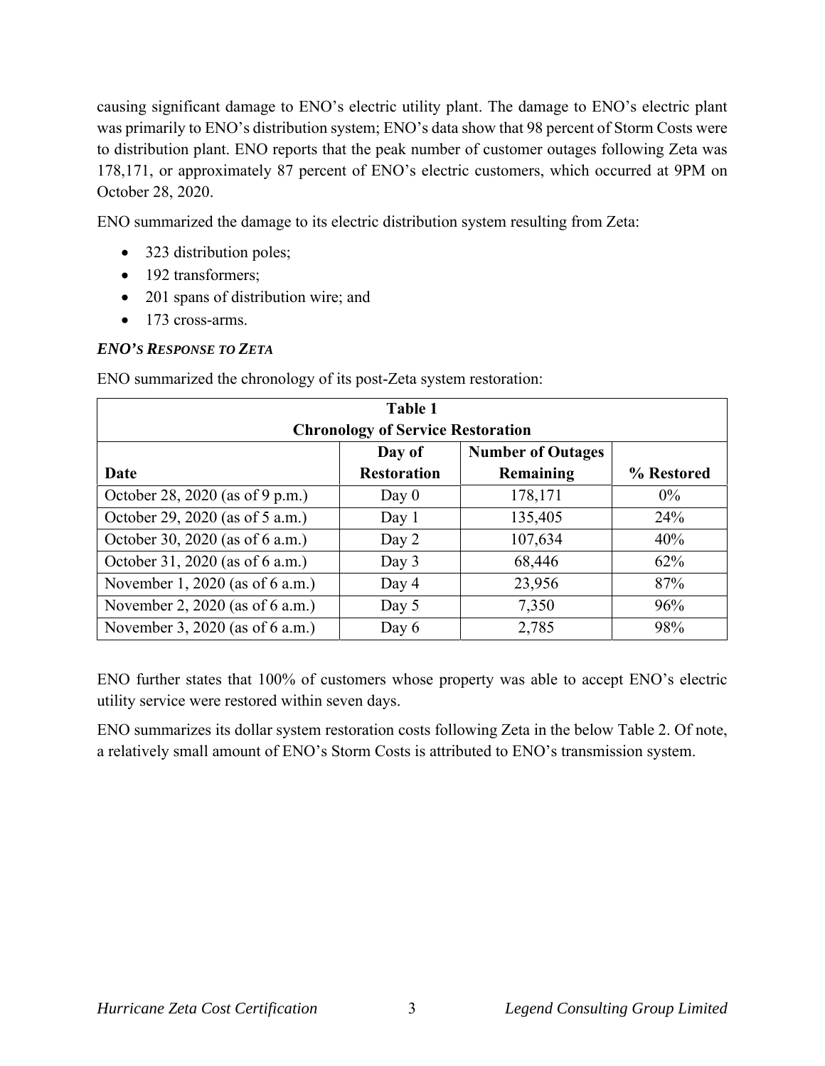causing significant damage to ENO's electric utility plant. The damage to ENO's electric plant was primarily to ENO's distribution system; ENO's data show that 98 percent of Storm Costs were to distribution plant. ENO reports that the peak number of customer outages following Zeta was 178,171, or approximately 87 percent of ENO's electric customers, which occurred at 9PM on October 28, 2020.

ENO summarized the damage to its electric distribution system resulting from Zeta:

- 323 distribution poles;
- 192 transformers;
- 201 spans of distribution wire; and
- 173 cross-arms.

# *ENO'S RESPONSE TO ZETA*

| Table 1<br><b>Chronology of Service Restoration</b> |                              |                                       |            |  |  |
|-----------------------------------------------------|------------------------------|---------------------------------------|------------|--|--|
| Date                                                | Day of<br><b>Restoration</b> | <b>Number of Outages</b><br>Remaining | % Restored |  |  |
| October 28, 2020 (as of 9 p.m.)                     | Day $0$                      | 178,171                               | $0\%$      |  |  |
| October 29, 2020 (as of 5 a.m.)                     | Day $1$                      | 135,405                               | 24%        |  |  |
| October 30, 2020 (as of 6 a.m.)                     | Day 2                        | 107,634                               | 40%        |  |  |
| October 31, 2020 (as of 6 a.m.)                     | Day 3                        | 68,446                                | 62%        |  |  |
| November 1, 2020 (as of 6 a.m.)                     | Day 4                        | 23,956                                | 87%        |  |  |
| November 2, 2020 (as of 6 a.m.)                     | Day 5                        | 7,350                                 | 96%        |  |  |
| November 3, 2020 (as of 6 a.m.)                     | Day 6                        | 2,785                                 | 98%        |  |  |

ENO summarized the chronology of its post-Zeta system restoration:

ENO further states that 100% of customers whose property was able to accept ENO's electric utility service were restored within seven days.

ENO summarizes its dollar system restoration costs following Zeta in the below Table 2. Of note, a relatively small amount of ENO's Storm Costs is attributed to ENO's transmission system.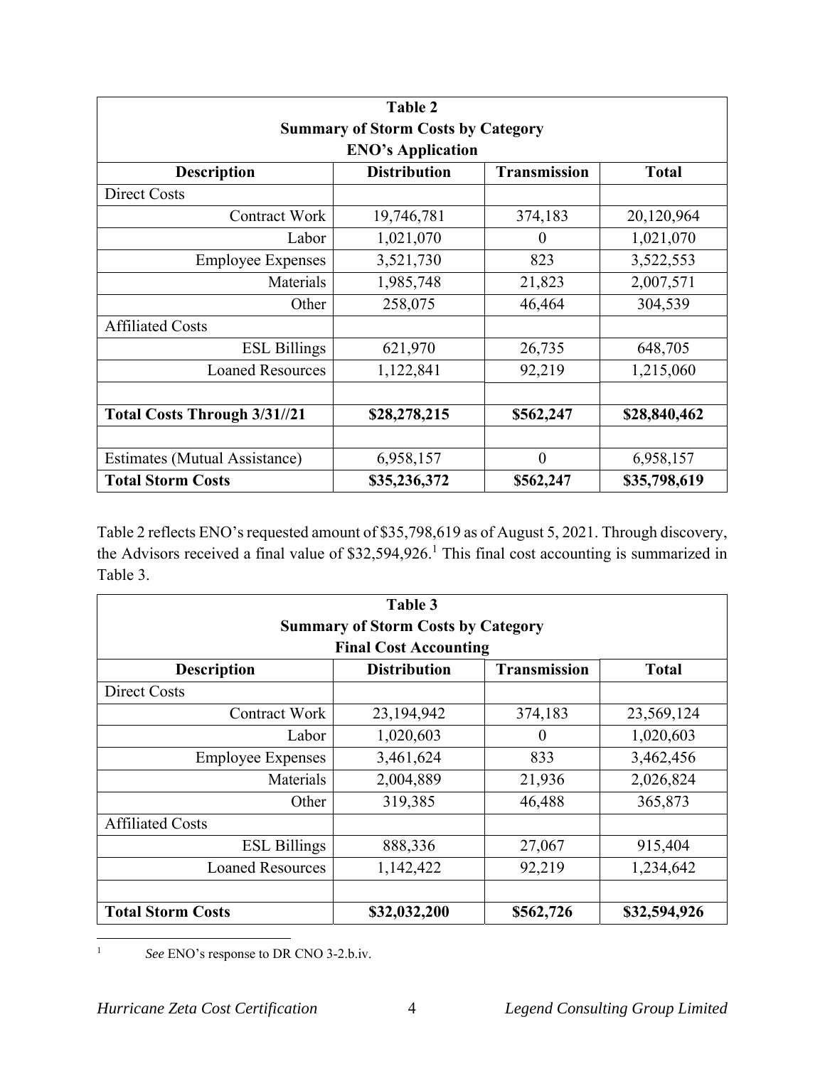|                                           | Table 2             |                     |              |  |  |
|-------------------------------------------|---------------------|---------------------|--------------|--|--|
| <b>Summary of Storm Costs by Category</b> |                     |                     |              |  |  |
| <b>ENO's Application</b>                  |                     |                     |              |  |  |
| <b>Description</b>                        | <b>Distribution</b> | <b>Transmission</b> | <b>Total</b> |  |  |
| <b>Direct Costs</b>                       |                     |                     |              |  |  |
| <b>Contract Work</b>                      | 19,746,781          | 374,183             | 20,120,964   |  |  |
| Labor                                     | 1,021,070           | $\Omega$            | 1,021,070    |  |  |
| <b>Employee Expenses</b>                  | 3,521,730           | 823                 | 3,522,553    |  |  |
| Materials                                 | 1,985,748           | 21,823              | 2,007,571    |  |  |
| Other                                     | 258,075             | 46,464              | 304,539      |  |  |
| <b>Affiliated Costs</b>                   |                     |                     |              |  |  |
| <b>ESL Billings</b>                       | 621,970             | 26,735              | 648,705      |  |  |
| <b>Loaned Resources</b>                   | 1,122,841           | 92,219              | 1,215,060    |  |  |
|                                           |                     |                     |              |  |  |
| <b>Total Costs Through 3/31//21</b>       | \$28,278,215        | \$562,247           | \$28,840,462 |  |  |
|                                           |                     |                     |              |  |  |
| <b>Estimates (Mutual Assistance)</b>      | 6,958,157           | $\theta$            | 6,958,157    |  |  |
| <b>Total Storm Costs</b>                  | \$35,236,372        | \$562,247           | \$35,798,619 |  |  |

Table 2 reflects ENO's requested amount of \$35,798,619 as of August 5, 2021. Through discovery, the Advisors received a final value of \$32,594,926.<sup>1</sup> This final cost accounting is summarized in Table 3.

| Table 3                                   |                     |                     |              |  |  |
|-------------------------------------------|---------------------|---------------------|--------------|--|--|
| <b>Summary of Storm Costs by Category</b> |                     |                     |              |  |  |
| <b>Final Cost Accounting</b>              |                     |                     |              |  |  |
| <b>Description</b>                        | <b>Distribution</b> | <b>Transmission</b> | <b>Total</b> |  |  |
| Direct Costs                              |                     |                     |              |  |  |
| <b>Contract Work</b>                      | 23,194,942          | 374,183             | 23,569,124   |  |  |
| Labor                                     | 1,020,603           | $\overline{0}$      | 1,020,603    |  |  |
| <b>Employee Expenses</b>                  | 3,461,624           | 833                 | 3,462,456    |  |  |
| Materials                                 | 2,004,889           | 21,936              | 2,026,824    |  |  |
| Other                                     | 319,385             | 46,488              | 365,873      |  |  |
| <b>Affiliated Costs</b>                   |                     |                     |              |  |  |
| <b>ESL Billings</b>                       | 888,336             | 27,067              | 915,404      |  |  |
| <b>Loaned Resources</b>                   | 1,142,422           | 92,219              | 1,234,642    |  |  |
|                                           |                     |                     |              |  |  |
| <b>Total Storm Costs</b>                  | \$32,032,200        | \$562,726           | \$32,594,926 |  |  |

1 *See* ENO's response to DR CNO 3-2.b.iv.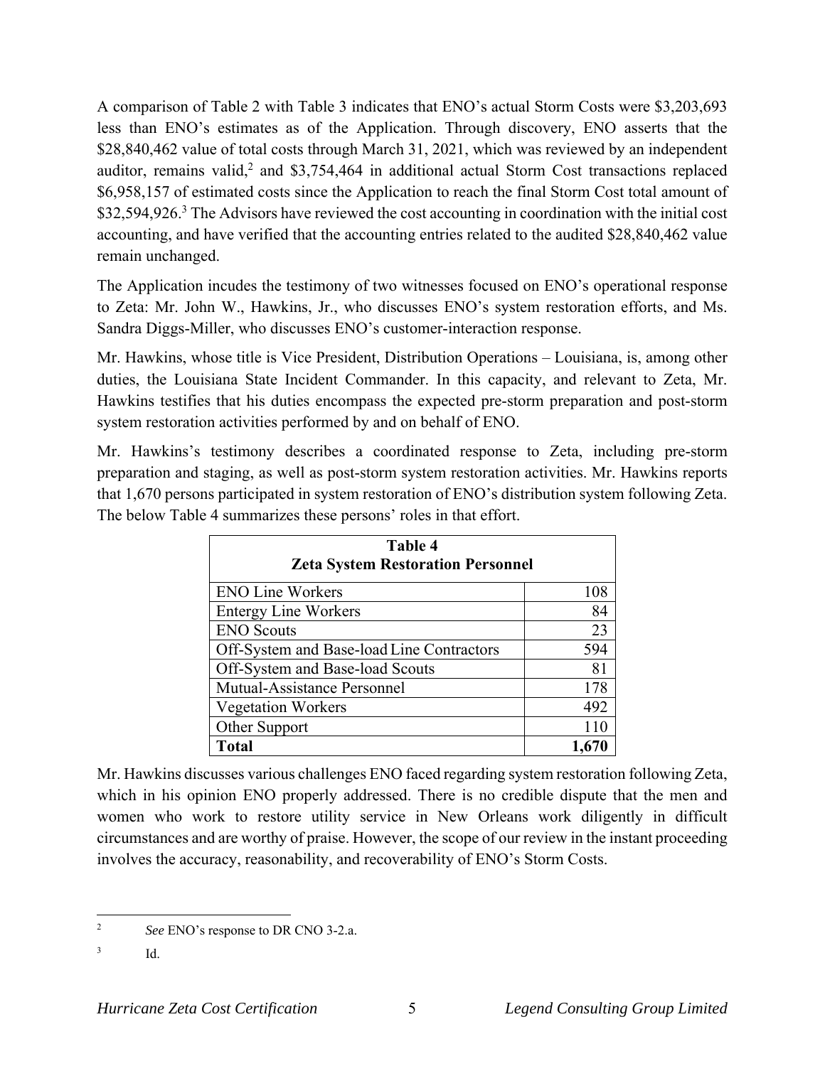A comparison of Table 2 with Table 3 indicates that ENO's actual Storm Costs were \$3,203,693 less than ENO's estimates as of the Application. Through discovery, ENO asserts that the \$28,840,462 value of total costs through March 31, 2021, which was reviewed by an independent auditor, remains valid,<sup>2</sup> and \$3,754,464 in additional actual Storm Cost transactions replaced \$6,958,157 of estimated costs since the Application to reach the final Storm Cost total amount of \$32,594,926.<sup>3</sup> The Advisors have reviewed the cost accounting in coordination with the initial cost accounting, and have verified that the accounting entries related to the audited \$28,840,462 value remain unchanged.

The Application incudes the testimony of two witnesses focused on ENO's operational response to Zeta: Mr. John W., Hawkins, Jr., who discusses ENO's system restoration efforts, and Ms. Sandra Diggs-Miller, who discusses ENO's customer-interaction response.

Mr. Hawkins, whose title is Vice President, Distribution Operations – Louisiana, is, among other duties, the Louisiana State Incident Commander. In this capacity, and relevant to Zeta, Mr. Hawkins testifies that his duties encompass the expected pre-storm preparation and post-storm system restoration activities performed by and on behalf of ENO.

Mr. Hawkins's testimony describes a coordinated response to Zeta, including pre-storm preparation and staging, as well as post-storm system restoration activities. Mr. Hawkins reports that 1,670 persons participated in system restoration of ENO's distribution system following Zeta. The below Table 4 summarizes these persons' roles in that effort.

| Table 4<br><b>Zeta System Restoration Personnel</b> |     |  |
|-----------------------------------------------------|-----|--|
|                                                     |     |  |
| <b>Entergy Line Workers</b>                         | 84  |  |
| <b>ENO</b> Scouts                                   | 23  |  |
| Off-System and Base-load Line Contractors           | 594 |  |
| Off-System and Base-load Scouts                     | 81  |  |
| Mutual-Assistance Personnel                         | 178 |  |
| <b>Vegetation Workers</b>                           | 492 |  |
| Other Support                                       | 110 |  |
| <b>Total</b>                                        |     |  |

Mr. Hawkins discusses various challenges ENO faced regarding system restoration following Zeta, which in his opinion ENO properly addressed. There is no credible dispute that the men and women who work to restore utility service in New Orleans work diligently in difficult circumstances and are worthy of praise. However, the scope of our review in the instant proceeding involves the accuracy, reasonability, and recoverability of ENO's Storm Costs.

<sup>2</sup> *See* ENO's response to DR CNO 3-2.a.

<sup>3</sup> Id.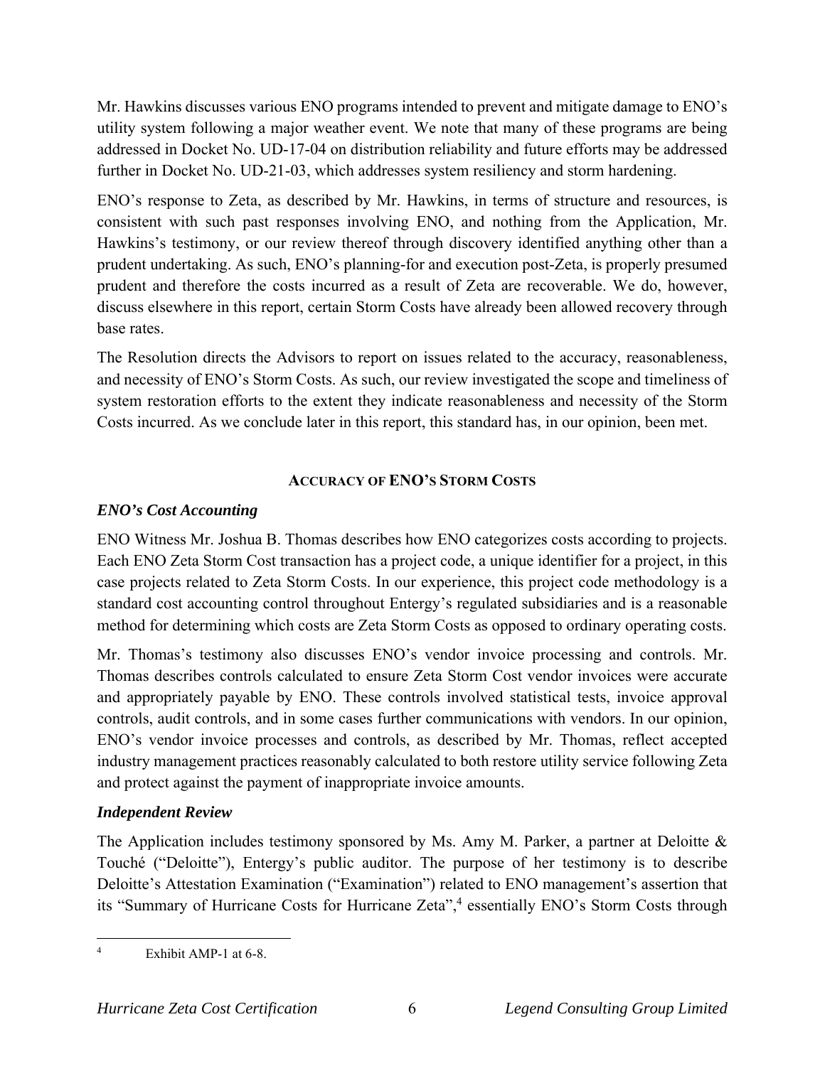Mr. Hawkins discusses various ENO programs intended to prevent and mitigate damage to ENO's utility system following a major weather event. We note that many of these programs are being addressed in Docket No. UD-17-04 on distribution reliability and future efforts may be addressed further in Docket No. UD-21-03, which addresses system resiliency and storm hardening.

ENO's response to Zeta, as described by Mr. Hawkins, in terms of structure and resources, is consistent with such past responses involving ENO, and nothing from the Application, Mr. Hawkins's testimony, or our review thereof through discovery identified anything other than a prudent undertaking. As such, ENO's planning-for and execution post-Zeta, is properly presumed prudent and therefore the costs incurred as a result of Zeta are recoverable. We do, however, discuss elsewhere in this report, certain Storm Costs have already been allowed recovery through base rates.

The Resolution directs the Advisors to report on issues related to the accuracy, reasonableness, and necessity of ENO's Storm Costs. As such, our review investigated the scope and timeliness of system restoration efforts to the extent they indicate reasonableness and necessity of the Storm Costs incurred. As we conclude later in this report, this standard has, in our opinion, been met.

# **ACCURACY OF ENO'S STORM COSTS**

# *ENO's Cost Accounting*

ENO Witness Mr. Joshua B. Thomas describes how ENO categorizes costs according to projects. Each ENO Zeta Storm Cost transaction has a project code, a unique identifier for a project, in this case projects related to Zeta Storm Costs. In our experience, this project code methodology is a standard cost accounting control throughout Entergy's regulated subsidiaries and is a reasonable method for determining which costs are Zeta Storm Costs as opposed to ordinary operating costs.

Mr. Thomas's testimony also discusses ENO's vendor invoice processing and controls. Mr. Thomas describes controls calculated to ensure Zeta Storm Cost vendor invoices were accurate and appropriately payable by ENO. These controls involved statistical tests, invoice approval controls, audit controls, and in some cases further communications with vendors. In our opinion, ENO's vendor invoice processes and controls, as described by Mr. Thomas, reflect accepted industry management practices reasonably calculated to both restore utility service following Zeta and protect against the payment of inappropriate invoice amounts.

# *Independent Review*

The Application includes testimony sponsored by Ms. Amy M. Parker, a partner at Deloitte & Touché ("Deloitte"), Entergy's public auditor. The purpose of her testimony is to describe Deloitte's Attestation Examination ("Examination") related to ENO management's assertion that its "Summary of Hurricane Costs for Hurricane Zeta",<sup>4</sup> essentially ENO's Storm Costs through

<sup>4</sup> Exhibit AMP-1 at 6-8.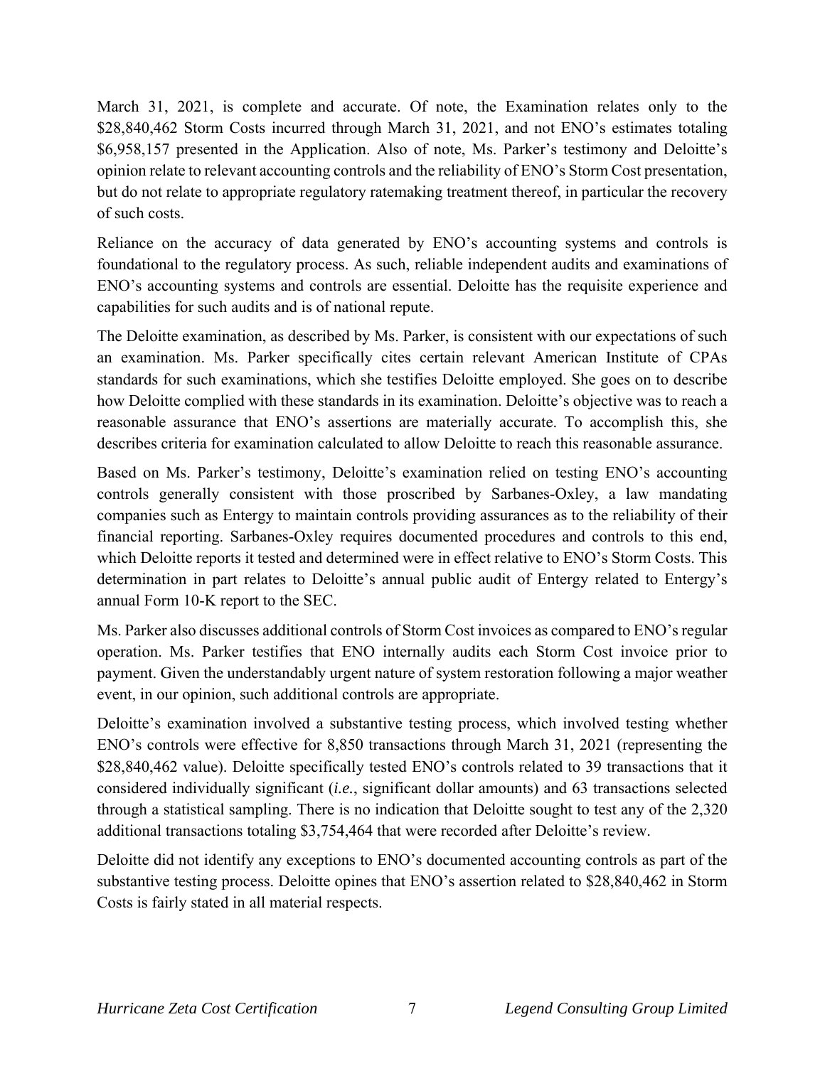March 31, 2021, is complete and accurate. Of note, the Examination relates only to the \$28,840,462 Storm Costs incurred through March 31, 2021, and not ENO's estimates totaling \$6,958,157 presented in the Application. Also of note, Ms. Parker's testimony and Deloitte's opinion relate to relevant accounting controls and the reliability of ENO's Storm Cost presentation, but do not relate to appropriate regulatory ratemaking treatment thereof, in particular the recovery of such costs.

Reliance on the accuracy of data generated by ENO's accounting systems and controls is foundational to the regulatory process. As such, reliable independent audits and examinations of ENO's accounting systems and controls are essential. Deloitte has the requisite experience and capabilities for such audits and is of national repute.

The Deloitte examination, as described by Ms. Parker, is consistent with our expectations of such an examination. Ms. Parker specifically cites certain relevant American Institute of CPAs standards for such examinations, which she testifies Deloitte employed. She goes on to describe how Deloitte complied with these standards in its examination. Deloitte's objective was to reach a reasonable assurance that ENO's assertions are materially accurate. To accomplish this, she describes criteria for examination calculated to allow Deloitte to reach this reasonable assurance.

Based on Ms. Parker's testimony, Deloitte's examination relied on testing ENO's accounting controls generally consistent with those proscribed by Sarbanes-Oxley, a law mandating companies such as Entergy to maintain controls providing assurances as to the reliability of their financial reporting. Sarbanes-Oxley requires documented procedures and controls to this end, which Deloitte reports it tested and determined were in effect relative to ENO's Storm Costs. This determination in part relates to Deloitte's annual public audit of Entergy related to Entergy's annual Form 10-K report to the SEC.

Ms. Parker also discusses additional controls of Storm Cost invoices as compared to ENO's regular operation. Ms. Parker testifies that ENO internally audits each Storm Cost invoice prior to payment. Given the understandably urgent nature of system restoration following a major weather event, in our opinion, such additional controls are appropriate.

Deloitte's examination involved a substantive testing process, which involved testing whether ENO's controls were effective for 8,850 transactions through March 31, 2021 (representing the \$28,840,462 value). Deloitte specifically tested ENO's controls related to 39 transactions that it considered individually significant (*i.e.*, significant dollar amounts) and 63 transactions selected through a statistical sampling. There is no indication that Deloitte sought to test any of the 2,320 additional transactions totaling \$3,754,464 that were recorded after Deloitte's review.

Deloitte did not identify any exceptions to ENO's documented accounting controls as part of the substantive testing process. Deloitte opines that ENO's assertion related to \$28,840,462 in Storm Costs is fairly stated in all material respects.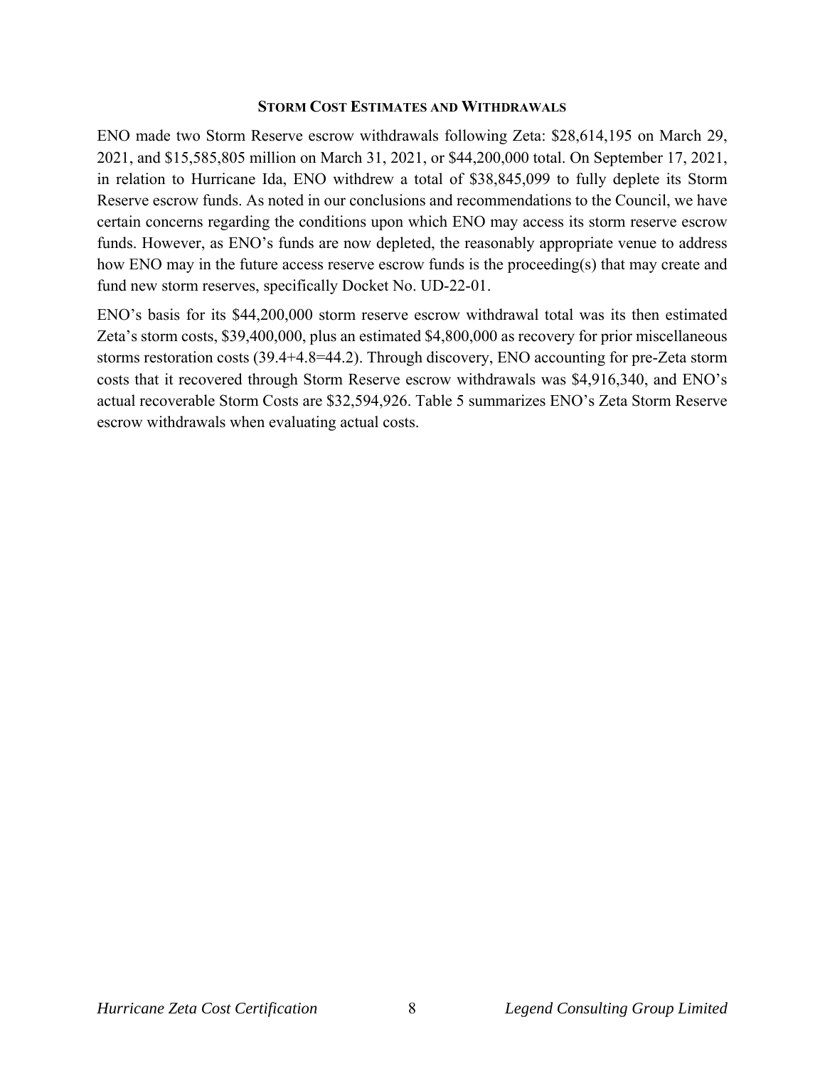#### **STORM COST ESTIMATES AND WITHDRAWALS**

ENO made two Storm Reserve escrow withdrawals following Zeta: \$28,614,195 on March 29, 2021, and \$15,585,805 million on March 31, 2021, or \$44,200,000 total. On September 17, 2021, in relation to Hurricane Ida, ENO withdrew a total of \$38,845,099 to fully deplete its Storm Reserve escrow funds. As noted in our conclusions and recommendations to the Council, we have certain concerns regarding the conditions upon which ENO may access its storm reserve escrow funds. However, as ENO's funds are now depleted, the reasonably appropriate venue to address how ENO may in the future access reserve escrow funds is the proceeding(s) that may create and fund new storm reserves, specifically Docket No. UD-22-01.

ENO's basis for its \$44,200,000 storm reserve escrow withdrawal total was its then estimated Zeta's storm costs, \$39,400,000, plus an estimated \$4,800,000 as recovery for prior miscellaneous storms restoration costs (39.4+4.8=44.2). Through discovery, ENO accounting for pre-Zeta storm costs that it recovered through Storm Reserve escrow withdrawals was \$4,916,340, and ENO's actual recoverable Storm Costs are \$32,594,926. Table 5 summarizes ENO's Zeta Storm Reserve escrow withdrawals when evaluating actual costs.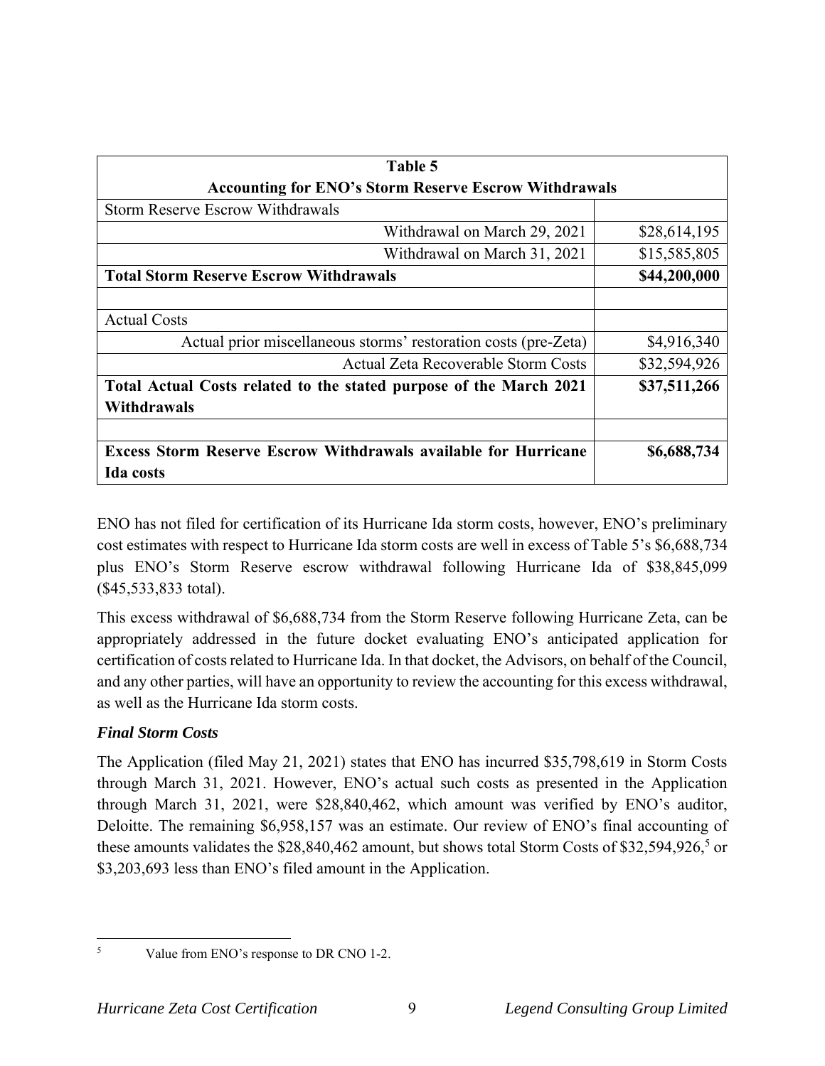| Table 5                                                                |              |  |
|------------------------------------------------------------------------|--------------|--|
| <b>Accounting for ENO's Storm Reserve Escrow Withdrawals</b>           |              |  |
| <b>Storm Reserve Escrow Withdrawals</b>                                |              |  |
| Withdrawal on March 29, 2021                                           | \$28,614,195 |  |
| Withdrawal on March 31, 2021                                           | \$15,585,805 |  |
| <b>Total Storm Reserve Escrow Withdrawals</b>                          | \$44,200,000 |  |
|                                                                        |              |  |
| <b>Actual Costs</b>                                                    |              |  |
| Actual prior miscellaneous storms' restoration costs (pre-Zeta)        | \$4,916,340  |  |
| Actual Zeta Recoverable Storm Costs                                    | \$32,594,926 |  |
| Total Actual Costs related to the stated purpose of the March 2021     | \$37,511,266 |  |
| Withdrawals                                                            |              |  |
|                                                                        |              |  |
| <b>Excess Storm Reserve Escrow Withdrawals available for Hurricane</b> | \$6,688,734  |  |
| <b>Ida</b> costs                                                       |              |  |

ENO has not filed for certification of its Hurricane Ida storm costs, however, ENO's preliminary cost estimates with respect to Hurricane Ida storm costs are well in excess of Table 5's \$6,688,734 plus ENO's Storm Reserve escrow withdrawal following Hurricane Ida of \$38,845,099 (\$45,533,833 total).

This excess withdrawal of \$6,688,734 from the Storm Reserve following Hurricane Zeta, can be appropriately addressed in the future docket evaluating ENO's anticipated application for certification of costs related to Hurricane Ida. In that docket, the Advisors, on behalf of the Council, and any other parties, will have an opportunity to review the accounting for this excess withdrawal, as well as the Hurricane Ida storm costs.

# *Final Storm Costs*

The Application (filed May 21, 2021) states that ENO has incurred \$35,798,619 in Storm Costs through March 31, 2021. However, ENO's actual such costs as presented in the Application through March 31, 2021, were \$28,840,462, which amount was verified by ENO's auditor, Deloitte. The remaining \$6,958,157 was an estimate. Our review of ENO's final accounting of these amounts validates the \$28,840,462 amount, but shows total Storm Costs of \$32,594,926,<sup>5</sup> or \$3,203,693 less than ENO's filed amount in the Application.

5

Value from ENO's response to DR CNO 1-2.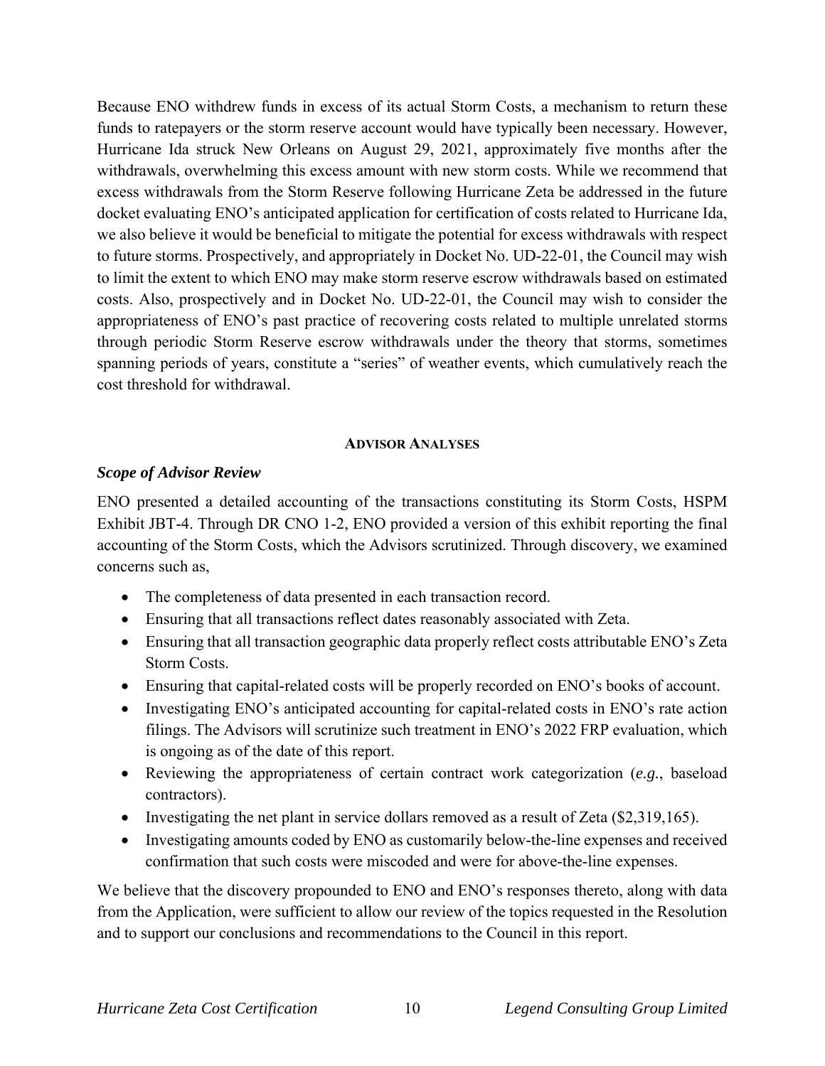Because ENO withdrew funds in excess of its actual Storm Costs, a mechanism to return these funds to ratepayers or the storm reserve account would have typically been necessary. However, Hurricane Ida struck New Orleans on August 29, 2021, approximately five months after the withdrawals, overwhelming this excess amount with new storm costs. While we recommend that excess withdrawals from the Storm Reserve following Hurricane Zeta be addressed in the future docket evaluating ENO's anticipated application for certification of costs related to Hurricane Ida, we also believe it would be beneficial to mitigate the potential for excess withdrawals with respect to future storms. Prospectively, and appropriately in Docket No. UD-22-01, the Council may wish to limit the extent to which ENO may make storm reserve escrow withdrawals based on estimated costs. Also, prospectively and in Docket No. UD-22-01, the Council may wish to consider the appropriateness of ENO's past practice of recovering costs related to multiple unrelated storms through periodic Storm Reserve escrow withdrawals under the theory that storms, sometimes spanning periods of years, constitute a "series" of weather events, which cumulatively reach the cost threshold for withdrawal.

#### **ADVISOR ANALYSES**

#### *Scope of Advisor Review*

ENO presented a detailed accounting of the transactions constituting its Storm Costs, HSPM Exhibit JBT-4. Through DR CNO 1-2, ENO provided a version of this exhibit reporting the final accounting of the Storm Costs, which the Advisors scrutinized. Through discovery, we examined concerns such as,

- The completeness of data presented in each transaction record.
- Ensuring that all transactions reflect dates reasonably associated with Zeta.
- Ensuring that all transaction geographic data properly reflect costs attributable ENO's Zeta Storm Costs.
- Ensuring that capital-related costs will be properly recorded on ENO's books of account.
- Investigating ENO's anticipated accounting for capital-related costs in ENO's rate action filings. The Advisors will scrutinize such treatment in ENO's 2022 FRP evaluation, which is ongoing as of the date of this report.
- Reviewing the appropriateness of certain contract work categorization (*e.g.*, baseload contractors).
- Investigating the net plant in service dollars removed as a result of Zeta  $(\$2,319,165)$ .
- Investigating amounts coded by ENO as customarily below-the-line expenses and received confirmation that such costs were miscoded and were for above-the-line expenses.

We believe that the discovery propounded to ENO and ENO's responses thereto, along with data from the Application, were sufficient to allow our review of the topics requested in the Resolution and to support our conclusions and recommendations to the Council in this report.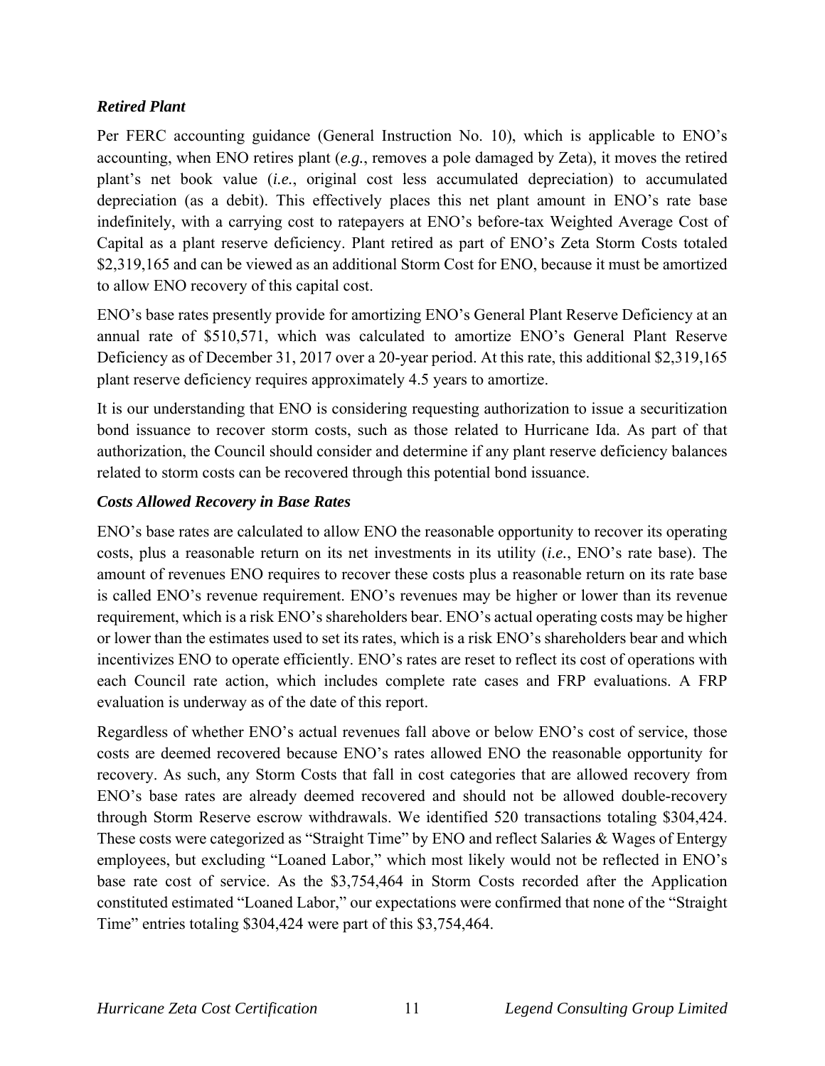# *Retired Plant*

Per FERC accounting guidance (General Instruction No. 10), which is applicable to ENO's accounting, when ENO retires plant (*e.g.*, removes a pole damaged by Zeta), it moves the retired plant's net book value (*i.e.*, original cost less accumulated depreciation) to accumulated depreciation (as a debit). This effectively places this net plant amount in ENO's rate base indefinitely, with a carrying cost to ratepayers at ENO's before-tax Weighted Average Cost of Capital as a plant reserve deficiency. Plant retired as part of ENO's Zeta Storm Costs totaled \$2,319,165 and can be viewed as an additional Storm Cost for ENO, because it must be amortized to allow ENO recovery of this capital cost.

ENO's base rates presently provide for amortizing ENO's General Plant Reserve Deficiency at an annual rate of \$510,571, which was calculated to amortize ENO's General Plant Reserve Deficiency as of December 31, 2017 over a 20-year period. At this rate, this additional \$2,319,165 plant reserve deficiency requires approximately 4.5 years to amortize.

It is our understanding that ENO is considering requesting authorization to issue a securitization bond issuance to recover storm costs, such as those related to Hurricane Ida. As part of that authorization, the Council should consider and determine if any plant reserve deficiency balances related to storm costs can be recovered through this potential bond issuance.

# *Costs Allowed Recovery in Base Rates*

ENO's base rates are calculated to allow ENO the reasonable opportunity to recover its operating costs, plus a reasonable return on its net investments in its utility (*i.e.*, ENO's rate base). The amount of revenues ENO requires to recover these costs plus a reasonable return on its rate base is called ENO's revenue requirement. ENO's revenues may be higher or lower than its revenue requirement, which is a risk ENO's shareholders bear. ENO's actual operating costs may be higher or lower than the estimates used to set its rates, which is a risk ENO's shareholders bear and which incentivizes ENO to operate efficiently. ENO's rates are reset to reflect its cost of operations with each Council rate action, which includes complete rate cases and FRP evaluations. A FRP evaluation is underway as of the date of this report.

Regardless of whether ENO's actual revenues fall above or below ENO's cost of service, those costs are deemed recovered because ENO's rates allowed ENO the reasonable opportunity for recovery. As such, any Storm Costs that fall in cost categories that are allowed recovery from ENO's base rates are already deemed recovered and should not be allowed double-recovery through Storm Reserve escrow withdrawals. We identified 520 transactions totaling \$304,424. These costs were categorized as "Straight Time" by ENO and reflect Salaries & Wages of Entergy employees, but excluding "Loaned Labor," which most likely would not be reflected in ENO's base rate cost of service. As the \$3,754,464 in Storm Costs recorded after the Application constituted estimated "Loaned Labor," our expectations were confirmed that none of the "Straight Time" entries totaling \$304,424 were part of this \$3,754,464.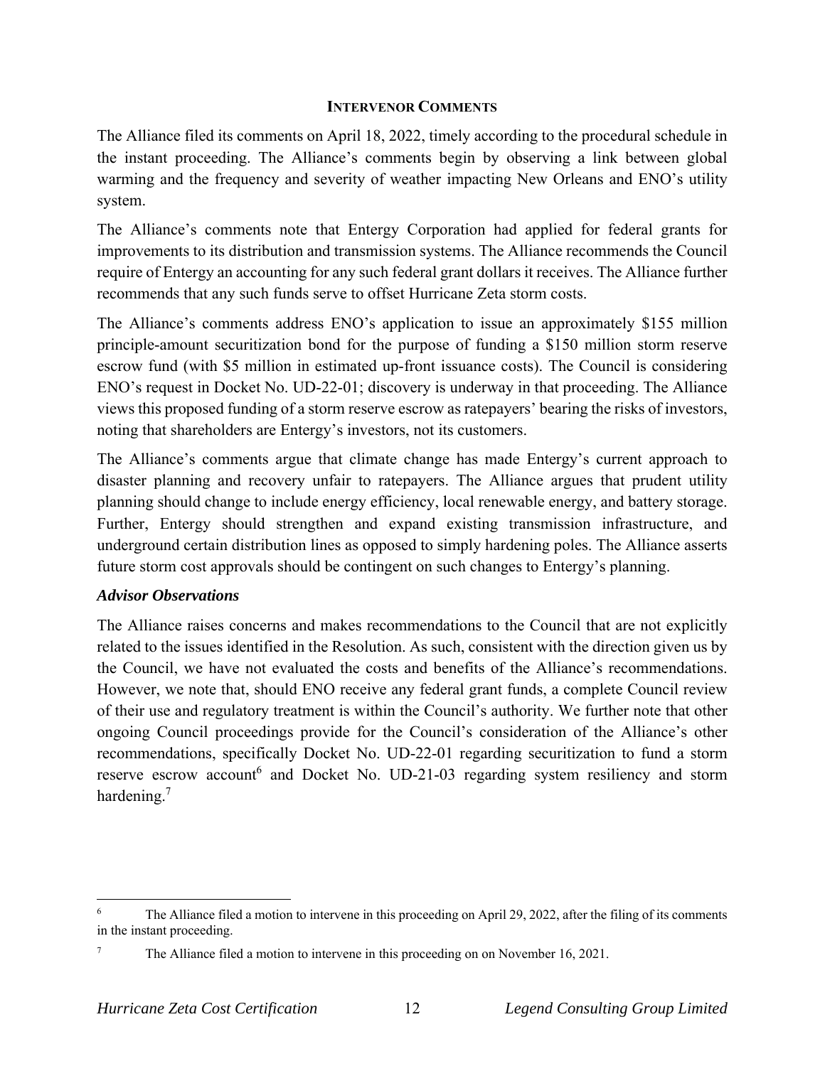### **INTERVENOR COMMENTS**

The Alliance filed its comments on April 18, 2022, timely according to the procedural schedule in the instant proceeding. The Alliance's comments begin by observing a link between global warming and the frequency and severity of weather impacting New Orleans and ENO's utility system.

The Alliance's comments note that Entergy Corporation had applied for federal grants for improvements to its distribution and transmission systems. The Alliance recommends the Council require of Entergy an accounting for any such federal grant dollars it receives. The Alliance further recommends that any such funds serve to offset Hurricane Zeta storm costs.

The Alliance's comments address ENO's application to issue an approximately \$155 million principle-amount securitization bond for the purpose of funding a \$150 million storm reserve escrow fund (with \$5 million in estimated up-front issuance costs). The Council is considering ENO's request in Docket No. UD-22-01; discovery is underway in that proceeding. The Alliance views this proposed funding of a storm reserve escrow as ratepayers' bearing the risks of investors, noting that shareholders are Entergy's investors, not its customers.

The Alliance's comments argue that climate change has made Entergy's current approach to disaster planning and recovery unfair to ratepayers. The Alliance argues that prudent utility planning should change to include energy efficiency, local renewable energy, and battery storage. Further, Entergy should strengthen and expand existing transmission infrastructure, and underground certain distribution lines as opposed to simply hardening poles. The Alliance asserts future storm cost approvals should be contingent on such changes to Entergy's planning.

# *Advisor Observations*

The Alliance raises concerns and makes recommendations to the Council that are not explicitly related to the issues identified in the Resolution. As such, consistent with the direction given us by the Council, we have not evaluated the costs and benefits of the Alliance's recommendations. However, we note that, should ENO receive any federal grant funds, a complete Council review of their use and regulatory treatment is within the Council's authority. We further note that other ongoing Council proceedings provide for the Council's consideration of the Alliance's other recommendations, specifically Docket No. UD-22-01 regarding securitization to fund a storm reserve escrow account<sup>6</sup> and Docket No. UD-21-03 regarding system resiliency and storm hardening.<sup>7</sup>

<sup>6</sup> The Alliance filed a motion to intervene in this proceeding on April 29, 2022, after the filing of its comments in the instant proceeding.

<sup>7</sup> The Alliance filed a motion to intervene in this proceeding on on November 16, 2021.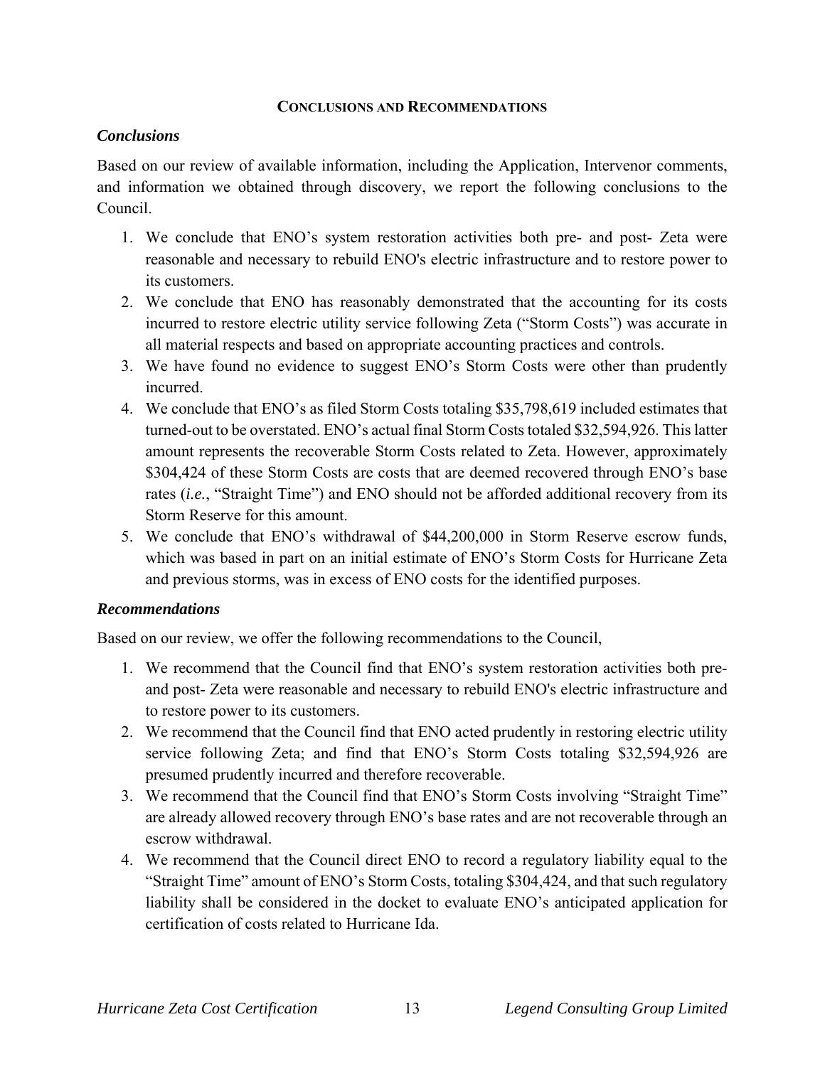### **CONCLUSIONS AND RECOMMENDATIONS**

### *Conclusions*

Based on our review of available information, including the Application, Intervenor comments, and information we obtained through discovery, we report the following conclusions to the Council.

- 1. We conclude that ENO's system restoration activities both pre- and post- Zeta were reasonable and necessary to rebuild ENO's electric infrastructure and to restore power to its customers.
- 2. We conclude that ENO has reasonably demonstrated that the accounting for its costs incurred to restore electric utility service following Zeta ("Storm Costs") was accurate in all material respects and based on appropriate accounting practices and controls.
- 3. We have found no evidence to suggest ENO's Storm Costs were other than prudently incurred.
- 4. We conclude that ENO's as filed Storm Costs totaling \$35,798,619 included estimates that turned-out to be overstated. ENO's actual final Storm Costs totaled \$32,594,926. This latter amount represents the recoverable Storm Costs related to Zeta. However, approximately \$304,424 of these Storm Costs are costs that are deemed recovered through ENO's base rates (*i.e.*, "Straight Time") and ENO should not be afforded additional recovery from its Storm Reserve for this amount.
- 5. We conclude that ENO's withdrawal of \$44,200,000 in Storm Reserve escrow funds, which was based in part on an initial estimate of ENO's Storm Costs for Hurricane Zeta and previous storms, was in excess of ENO costs for the identified purposes.

### *Recommendations*

Based on our review, we offer the following recommendations to the Council,

- 1. We recommend that the Council find that ENO's system restoration activities both preand post- Zeta were reasonable and necessary to rebuild ENO's electric infrastructure and to restore power to its customers.
- 2. We recommend that the Council find that ENO acted prudently in restoring electric utility service following Zeta; and find that ENO's Storm Costs totaling \$32,594,926 are presumed prudently incurred and therefore recoverable.
- 3. We recommend that the Council find that ENO's Storm Costs involving "Straight Time" are already allowed recovery through ENO's base rates and are not recoverable through an escrow withdrawal.
- 4. We recommend that the Council direct ENO to record a regulatory liability equal to the "Straight Time" amount of ENO's Storm Costs, totaling \$304,424, and that such regulatory liability shall be considered in the docket to evaluate ENO's anticipated application for certification of costs related to Hurricane Ida.